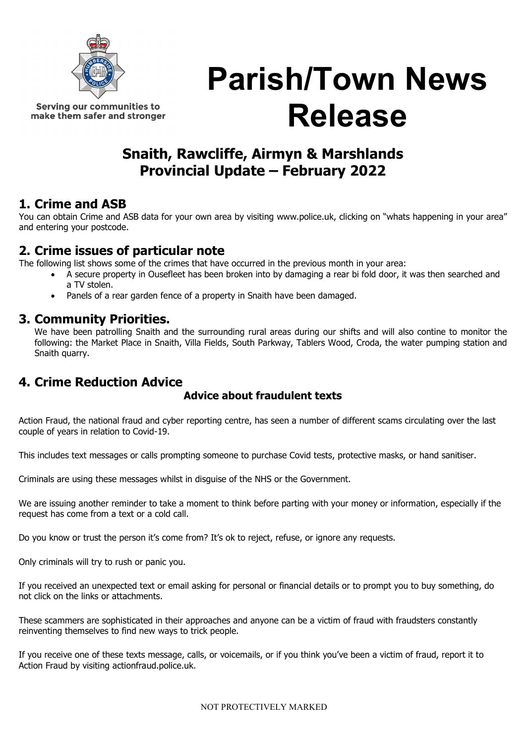

Serving our communities to make them safer and stronger Parish/Town News Release

# Snaith, Rawcliffe, Airmyn & Marshlands Provincial Update – February 2022

## 1. Crime and ASB

You can obtain Crime and ASB data for your own area by visiting www.police.uk, clicking on "whats happening in your area" and entering your postcode.

## 2. Crime issues of particular note

The following list shows some of the crimes that have occurred in the previous month in your area:

- A secure property in Ousefleet has been broken into by damaging a rear bi fold door, it was then searched and a TV stolen.
- Panels of a rear garden fence of a property in Snaith have been damaged.

### 3. Community Priorities.

We have been patrolling Snaith and the surrounding rural areas during our shifts and will also contine to monitor the following: the Market Place in Snaith, Villa Fields, South Parkway, Tablers Wood, Croda, the water pumping station and Snaith quarry.

## 4. Crime Reduction Advice

#### Advice about fraudulent texts

Action Fraud, the national fraud and cyber reporting centre, has seen a number of different scams circulating over the last couple of years in relation to Covid-19.

This includes text messages or calls prompting someone to purchase Covid tests, protective masks, or hand sanitiser.

Criminals are using these messages whilst in disguise of the NHS or the Government.

We are issuing another reminder to take a moment to think before parting with your money or information, especially if the request has come from a text or a cold call.

Do you know or trust the person it's come from? It's ok to reject, refuse, or ignore any requests.

Only criminals will try to rush or panic you.

If you received an unexpected text or email asking for personal or financial details or to prompt you to buy something, do not click on the links or attachments.

These scammers are sophisticated in their approaches and anyone can be a victim of fraud with fraudsters constantly reinventing themselves to find new ways to trick people.

If you receive one of these texts message, calls, or voicemails, or if you think you've been a victim of fraud, report it to Action Fraud by visiting actionfraud.police.uk.